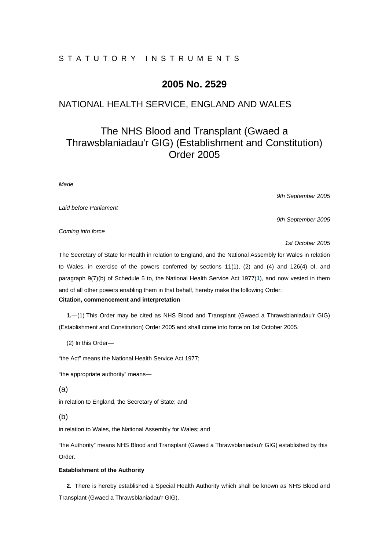# STATUTORY INSTRUMENTS

# **2005 No. 2529**

# NATIONAL HEALTH SERVICE, ENGLAND AND WALES

# The NHS Blood and Transplant (Gwaed a Thrawsblaniadau'r GIG) (Establishment and Constitution) Order 2005

*Made* 

*9th September 2005* 

*9th September 2005* 

*Laid before Parliament* 

*Coming into force* 

*1st October 2005* 

The Secretary of State for Health in relation to England, and the National Assembly for Wales in relation to Wales, in exercise of the powers conferred by sections 11(1), (2) and (4) and 126(4) of, and paragraph 9(7)(b) of Schedule 5 to, the National Health Service Act 1977(**1**), and now vested in them and of all other powers enabling them in that behalf, hereby make the following Order: **Citation, commencement and interpretation** 

**1.**—(1) This Order may be cited as NHS Blood and Transplant (Gwaed a Thrawsblaniadau'r GIG) (Establishment and Constitution) Order 2005 and shall come into force on 1st October 2005.

(2) In this Order—

"the Act" means the National Health Service Act 1977;

"the appropriate authority" means—

(a)

in relation to England, the Secretary of State; and

(b)

in relation to Wales, the National Assembly for Wales; and

"the Authority" means NHS Blood and Transplant (Gwaed a Thrawsblaniadau'r GIG) established by this Order.

# **Establishment of the Authority**

**2.** There is hereby established a Special Health Authority which shall be known as NHS Blood and Transplant (Gwaed a Thrawsblaniadau'r GIG).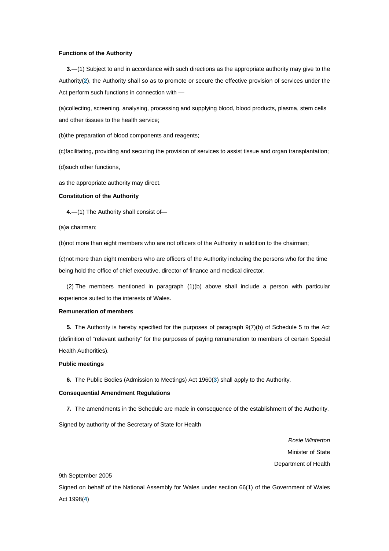### **Functions of the Authority**

**3.**—(1) Subject to and in accordance with such directions as the appropriate authority may give to the Authority(**2**), the Authority shall so as to promote or secure the effective provision of services under the Act perform such functions in connection with —

(a)collecting, screening, analysing, processing and supplying blood, blood products, plasma, stem cells and other tissues to the health service;

(b)the preparation of blood components and reagents;

(c)facilitating, providing and securing the provision of services to assist tissue and organ transplantation;

(d)such other functions,

as the appropriate authority may direct.

### **Constitution of the Authority**

**4.**—(1) The Authority shall consist of—

(a)a chairman;

(b)not more than eight members who are not officers of the Authority in addition to the chairman;

(c)not more than eight members who are officers of the Authority including the persons who for the time being hold the office of chief executive, director of finance and medical director.

(2) The members mentioned in paragraph (1)(b) above shall include a person with particular experience suited to the interests of Wales.

## **Remuneration of members**

**5.** The Authority is hereby specified for the purposes of paragraph 9(7)(b) of Schedule 5 to the Act (definition of "relevant authority" for the purposes of paying remuneration to members of certain Special Health Authorities).

### **Public meetings**

**6.** The Public Bodies (Admission to Meetings) Act 1960(**3**) shall apply to the Authority.

#### **Consequential Amendment Regulations**

**7.** The amendments in the Schedule are made in consequence of the establishment of the Authority.

Signed by authority of the Secretary of State for Health

*Rosie Winterton*  Minister of State Department of Health

# 9th September 2005

Signed on behalf of the National Assembly for Wales under section 66(1) of the Government of Wales Act 1998(**4**)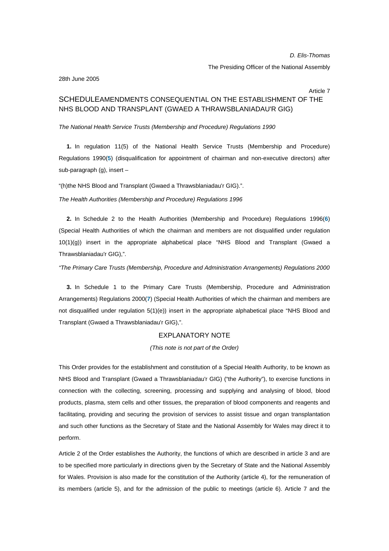## *D. Elis-Thomas*

#### The Presiding Officer of the National Assembly

#### 28th June 2005

#### Article 7

# SCHEDULEAMENDMENTS CONSEQUENTIAL ON THE ESTABLISHMENT OF THE NHS BLOOD AND TRANSPLANT (GWAED A THRAWSBLANIADAU'R GIG)

# *The National Health Service Trusts (Membership and Procedure) Regulations 1990*

**1.** In regulation 11(5) of the National Health Service Trusts (Membership and Procedure) Regulations 1990(**5**) (disqualification for appointment of chairman and non-executive directors) after sub-paragraph (g), insert –

"(h)the NHS Blood and Transplant (Gwaed a Thrawsblaniadau'r GIG).".

*The Health Authorities (Membership and Procedure) Regulations 1996*

**2.** In Schedule 2 to the Health Authorities (Membership and Procedure) Regulations 1996(**6**) (Special Health Authorities of which the chairman and members are not disqualified under regulation  $10(1)(q)$ ) insert in the appropriate alphabetical place "NHS Blood and Transplant (Gwaed a Thrawsblaniadau'r GIG),".

*"The Primary Care Trusts (Membership, Procedure and Administration Arrangements) Regulations 2000*

**3.** In Schedule 1 to the Primary Care Trusts (Membership, Procedure and Administration Arrangements) Regulations 2000(**7**) (Special Health Authorities of which the chairman and members are not disqualified under regulation 5(1)(e)) insert in the appropriate alphabetical place "NHS Blood and Transplant (Gwaed a Thrawsblaniadau'r GIG),".

# EXPLANATORY NOTE

*(This note is not part of the Order)* 

This Order provides for the establishment and constitution of a Special Health Authority, to be known as NHS Blood and Transplant (Gwaed a Thrawsblaniadau'r GIG) ("the Authority"), to exercise functions in connection with the collecting, screening, processing and supplying and analysing of blood, blood products, plasma, stem cells and other tissues, the preparation of blood components and reagents and facilitating, providing and securing the provision of services to assist tissue and organ transplantation and such other functions as the Secretary of State and the National Assembly for Wales may direct it to perform.

Article 2 of the Order establishes the Authority, the functions of which are described in article 3 and are to be specified more particularly in directions given by the Secretary of State and the National Assembly for Wales. Provision is also made for the constitution of the Authority (article 4), for the remuneration of its members (article 5), and for the admission of the public to meetings (article 6). Article 7 and the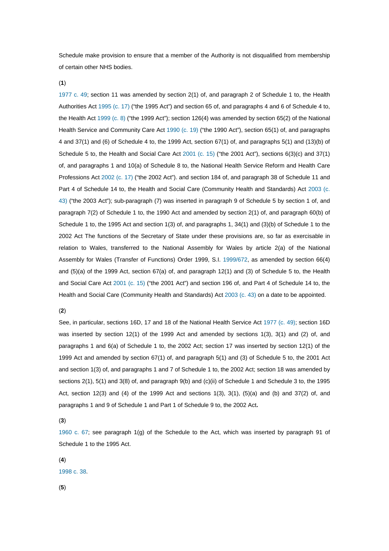Schedule make provision to ensure that a member of the Authority is not disqualified from membership of certain other NHS bodies.

(**1**)

1977 c. 49; section 11 was amended by section 2(1) of, and paragraph 2 of Schedule 1 to, the Health Authorities Act 1995 (c. 17) ("the 1995 Act") and section 65 of, and paragraphs 4 and 6 of Schedule 4 to, the Health Act 1999 (c. 8) ("the 1999 Act"); section 126(4) was amended by section 65(2) of the National Health Service and Community Care Act 1990 (c. 19) ("the 1990 Act"), section 65(1) of, and paragraphs 4 and 37(1) and (6) of Schedule 4 to, the 1999 Act, section 67(1) of, and paragraphs 5(1) and (13)(b) of Schedule 5 to, the Health and Social Care Act 2001 (c. 15) ("the 2001 Act"), sections 6(3)(c) and 37(1) of, and paragraphs 1 and 10(a) of Schedule 8 to, the National Health Service Reform and Health Care Professions Act 2002 (c. 17) ("the 2002 Act"). and section 184 of, and paragraph 38 of Schedule 11 and Part 4 of Schedule 14 to, the Health and Social Care (Community Health and Standards) Act 2003 (c. 43) ("the 2003 Act"); sub-paragraph (7) was inserted in paragraph 9 of Schedule 5 by section 1 of, and paragraph 7(2) of Schedule 1 to, the 1990 Act and amended by section 2(1) of, and paragraph 60(b) of Schedule 1 to, the 1995 Act and section 1(3) of, and paragraphs 1, 34(1) and (3)(b) of Schedule 1 to the 2002 Act The functions of the Secretary of State under these provisions are, so far as exercisable in relation to Wales, transferred to the National Assembly for Wales by article 2(a) of the National Assembly for Wales (Transfer of Functions) Order 1999, S.I. 1999/672, as amended by section 66(4) and (5)(a) of the 1999 Act, section 67(a) of, and paragraph 12(1) and (3) of Schedule 5 to, the Health and Social Care Act 2001 (c. 15) ("the 2001 Act") and section 196 of, and Part 4 of Schedule 14 to, the Health and Social Care (Community Health and Standards) Act 2003 (c. 43) on a date to be appointed.

## (**2**)

See, in particular, sections 16D, 17 and 18 of the National Health Service Act 1977 (c. 49); section 16D was inserted by section 12(1) of the 1999 Act and amended by sections 1(3), 3(1) and (2) of, and paragraphs 1 and 6(a) of Schedule 1 to, the 2002 Act; section 17 was inserted by section 12(1) of the 1999 Act and amended by section 67(1) of, and paragraph 5(1) and (3) of Schedule 5 to, the 2001 Act and section 1(3) of, and paragraphs 1 and 7 of Schedule 1 to, the 2002 Act; section 18 was amended by sections 2(1), 5(1) and 3(8) of, and paragraph 9(b) and (c)(ii) of Schedule 1 and Schedule 3 to, the 1995 Act, section 12(3) and (4) of the 1999 Act and sections 1(3), 3(1), (5)(a) and (b) and 37(2) of, and paragraphs 1 and 9 of Schedule 1 and Part 1 of Schedule 9 to, the 2002 Act**.**

(**3**)

1960 c. 67; see paragraph 1(g) of the Schedule to the Act, which was inserted by paragraph 91 of Schedule 1 to the 1995 Act.

(**4**) 1998 c. 38.

(**5**)